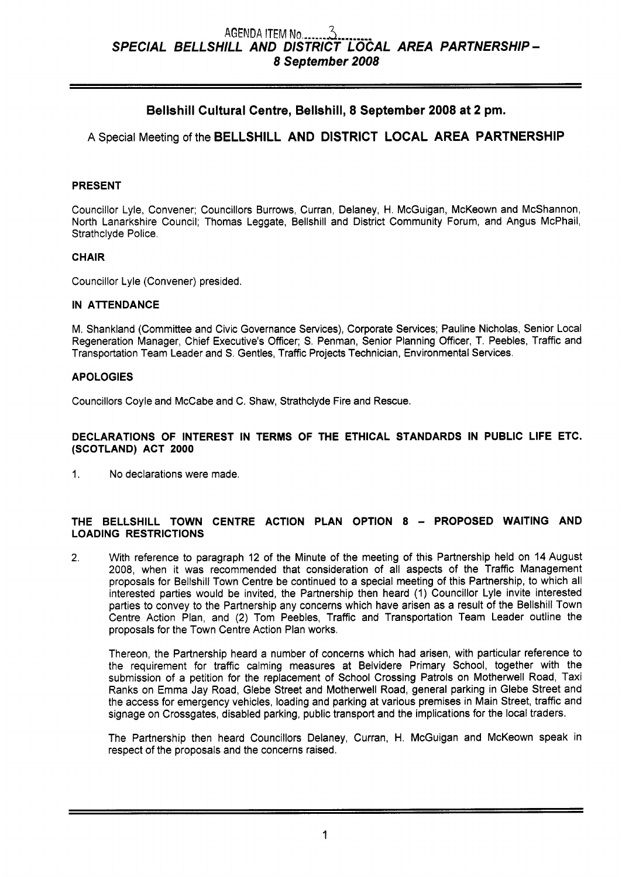# **Bellshill Cultural Centre, Bellshill, 8 September 2008 at 2 pm.**

**A** Special Meeting of the **BELLSHILL AND DISTRICT LOCAL AREA PARTNERSHIP** 

# **PRESENT**

Councillor Lyle, Convener; Councillors Burrows, Curran, Delaney, H. McGuigan, McKeown and McShannon, North Lanarkshire Council; Thomas Leggate, Bellshill and District Community Forum, and Angus McPhail, Strathclyde Police.

# **CHAIR**

Councillor Lyle (Convener) presided.

# **IN ATTENDANCE**

M. Shankland (Committee and Civic Governance Services), Corporate Services; Pauline Nicholas, Senior Local Regeneration Manager, Chief Executive's Officer; *S.* Penman, Senior Planning Officer, T. Peebles, Traffic and Transportation Team Leader and *S.* Gentles, Traffic Projects Technician, Environmental Services.

# **APOLOGIES**

Councillors Coyle and McCabe and C. Shaw, Strathclyde Fire and Rescue.

# **DECLARATIONS OF INTEREST IN TERMS OF THE ETHICAL STANDARDS IN PUBLIC LIFE ETC. (SCOTLAND) ACT 2000**

1. No declarations were made.

# **THE BELLSHILL TOWN CENTRE ACTION PLAN OPTION 8** - **PROPOSED WAITING AND LOADING RESTRICTIONS**

**2.** With reference to paragraph 12 of the Minute of the meeting of this Partnership held on 14 August 2008, when it was recommended that consideration of all aspects of the Traffic Management proposals for Bellshill Town Centre be continued to a special meeting of this Partnership, to which all interested parties would be invited, the Partnership then heard (1) Councillor Lyle invite interested parties to convey to the Partnership any concerns which have arisen as a result of the Bellshill Town Centre Action Plan, and (2) Tom Peebles, Traffic and Transportation Team Leader outline the proposals for the Town Centre Action Plan works.

Thereon, the Partnership heard a number of concerns which had arisen, with particular reference to the requirement for traffic calming measures at Belvidere Primary School, together with the submission of a petition for the replacement of School Crossing Patrols on Motherwell Road, Taxi Ranks on Emma Jay Road, Glebe Street and Motherwell Road, general parking in Glebe Street and the access for emergency vehicles, loading and parking at various premises in Main Street, traffic and signage on Crossgates, disabled parking, public transport and the implications for the local traders.

The Partnership then heard Councillors Delaney, Curran, H. McGuigan and McKeown speak in respect of the proposals and the concerns raised.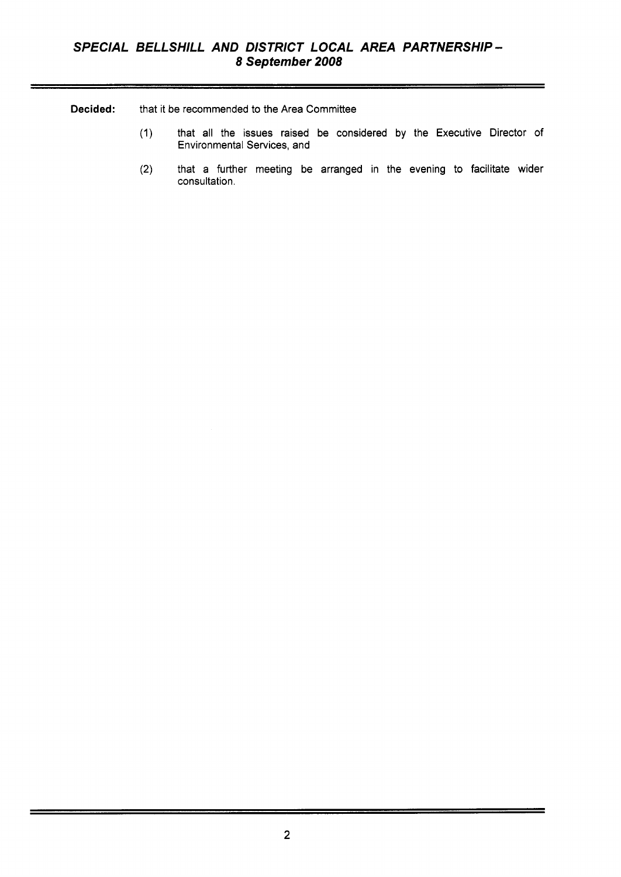**Decided:** that it be recommended to the Area Committee

- (1) that all the issues raised be considered by the Executive Director of Environmental Services, and
- (2) that a further meeting be arranged in the evening to facilitate wider consultation.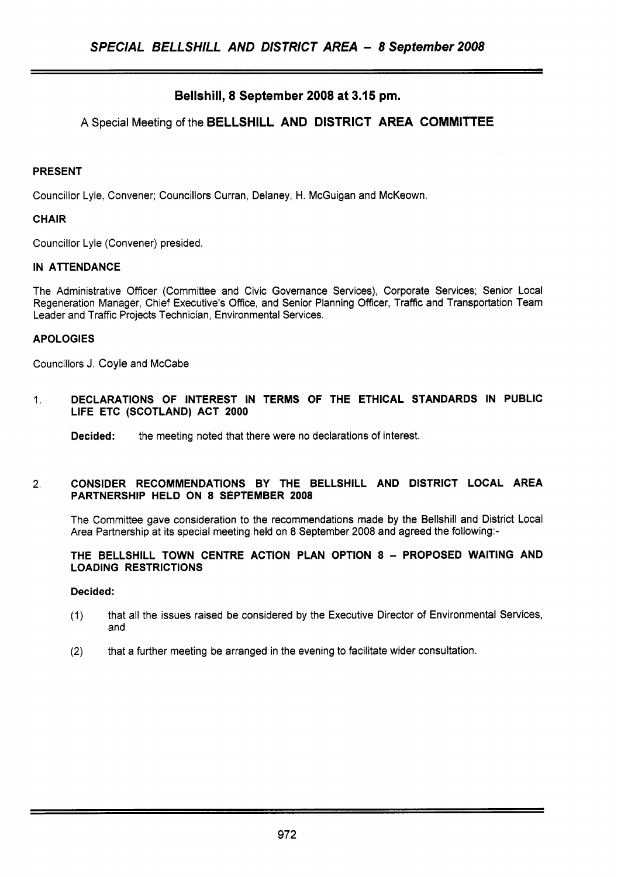# **Bellshill, 8 September 2008 at 3.15 pm.**

# **A** Special Meeting of the **BELLSHILL AND DISTRICT AREA COMMITTEE**

# **PRESENT**

Councillor Lyle, Convener; Councillors Curran, Delaney, H. McGuigan and McKeown.

# **CHAIR**

Councillor Lyle (Convener) presided.

# **IN ATTENDANCE**

The Administrative Officer (Committee and Civic Governance Services), Corporate Services; Senior Local Regeneration Manager, Chief Executive's Office, and Senior Planning Officer, Traffic and Transportation Team Leader and Traffic Projects Technician, Environmental Services.

# **APOLOGIES**

Councillors J. Coyle and McCabe

1. **DECLARATIONS OF INTEREST IN TERMS OF THE ETHICAL STANDARDS IN PUBLIC LIFE ETC (SCOTLAND) ACT 2000** 

**Decided:** the meeting noted that there were no declarations of interest.

### **2. CONSIDER RECOMMENDATIONS BY THE BELLSHILL AND DISTRICT LOCAL AREA PARTNERSHIP HELD ON 8 SEPTEMBER 2008**

The Committee gave consideration to the recommendations made by the Bellshill and District Local Area Partnership at its special meeting held on *8* September 2008 and agreed the following:-

# **THE BELLSHILL TOWN CENTRE ACTION PLAN OPTION 8** - **PROPOSED WAITING AND LOADING RESTRICTIONS**

# **Decided:**

- (1) that all the issues raised be considered by the Executive Director of Environmental Services, and
- (2) that a further meeting be arranged in the evening to facilitate wider consultation.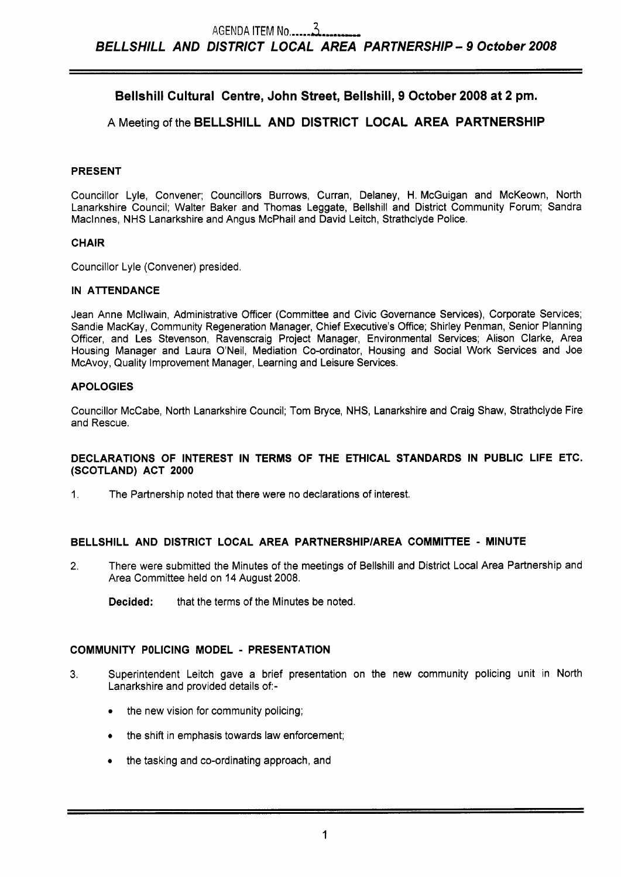# **Bellshill Cultural Centre, John Street, Bellshill, 9 October 2008 at 2 pm.**

# **A** Meeting of the **BELLSHILL AND DISTRICT LOCAL AREA PARTNERSHIP**

# **PRESENT**

Councillor Lyle, Convener; Councillors Burrows, Curran, Delaney, H. McGuigan and McKeown, North Lanarkshire Council; Walter Baker and Thomas Leggate, Bellshill and District Community Forum; Sandra Maclnnes, NHS Lanarkshire and Angus McPhail and David Leitch, Strathclyde Police.

# **CHAIR**

Councillor Lyle (Convener) presided.

# **IN ATTENDANCE**

Jean Anne Mcllwain, Administrative Officer (Committee and Civic Governance Services), Corporate Services; Sandie MacKay, Community Regeneration Manager, Chief Executive's Office; Shirley Penman, Senior Planning Officer, and Les Stevenson, Ravenscraig Project Manager, Environmental Services; Alison Clarke, Area Housing Manager and Laura O'Neil, Mediation Co-ordinator, Housing and Social Work Services and Joe McAvoy, Quality Improvement Manager, Learning and Leisure Services.

# **APOLOGIES**

Councillor McCabe, North Lanarkshire Council; Tom Bryce, NHS, Lanarkshire and Craig Shaw, Strathclyde Fire and Rescue.

# **DECLARATIONS OF INTEREST IN TERMS OF THE ETHICAL STANDARDS IN PUBLIC LIFE ETC. (SCOTLAND) ACT 2000**

1. The Partnership noted that there were no declarations of interest.

# **BELLSHILL AND DISTRICT LOCAL AREA PARTNERSHlPlAREA COMMITTEE** - **MINUTE**

- 2. There were submitted the Minutes of the meetings of Bellshill and District Local Area Partnership and Area Committee held on **14** August 2008.
	- **Decided:** that the terms of the Minutes be noted.

# **COMMUNIW POLICING MODEL** - **PRESENTATION**

- **3.** Superintendent Leitch gave a brief presentation on the new community policing unit in North Lanarkshire and provided details of:-
	- the new vision for community policing;
	- the shift in emphasis towards law enforcement;
	- *<sup>0</sup>*the tasking and co-ordinating approach, and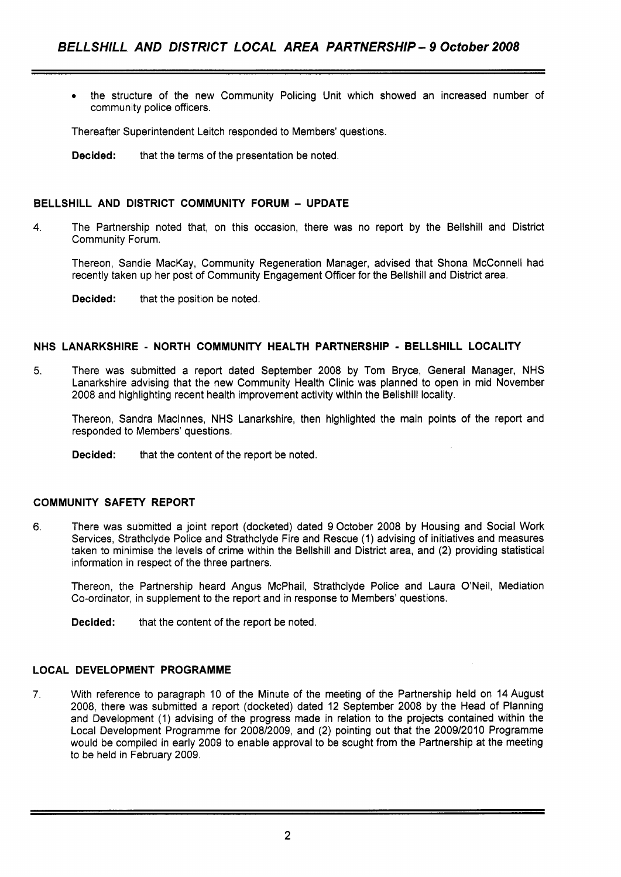*<sup>0</sup>*the structure of the new Community Policing Unit which showed an increased number of community police officers.

Thereafter Superintendent Leitch responded to Members' questions.

**Decided:** that the terms of the presentation be noted.

# **BELLSHILL AND DISTRICT COMMUNITY FORUM** - **UPDATE**

**4.** The Partnership noted that, on this occasion, there was no report by the Bellshill and District Community Forum.

Thereon, Sandie MacKay, Community Regeneration Manager, advised that Shona McConnell had recently taken up her post of Community Engagement Officer for the Bellshill and District area.

**Decided:** that the position be noted.

# **NHS LANARKSHIRE** - **NORTH COMMUNITY HEALTH PARTNERSHIP** - **BELLSHILL LOCALITY**

5. There was submitted a report dated September 2008 by Tom Bryce, General Manager, NHS Lanarkshire advising that the new Community Health Clinic was planned to open in mid November 2008 and highlighting recent health improvement activity within the Bellshill locality.

Thereon, Sandra Maclnnes, NHS Lanarkshire, then highlighted the main points of the report and responded to Members' questions.

**Decided:** that the content of the report be noted.

# **COMMUNITY SAFETY REPORT**

**6.** There was submitted a joint report (docketed) dated 9 October 2008 by Housing and Social Work Services, Strathclyde Police and Strathclyde Fire and Rescue (1) advising of initiatives and measures taken to minimise the levels of crime within the Bellshill and District area, and (2) providing statistical information in respect of the three partners.

Thereon, the Partnership heard Angus McPhail, Strathclyde Police and Laura O'Neil, Mediation Co-ordinator, in supplement to the report and in response to Members' questions.

**Decided:** that the content of the report be noted.

# **LOCAL DEVELOPMENT PROGRAMME**

**7.** With reference to paragraph 10 of the Minute of the meeting of the Partnership held on 14 August 2008, there was submitted a report (docketed) dated 12 September 2008 by the Head of Planning and Development (1) advising of the progress made in relation to the projects contained within the Local Development Programme for 2008/2009, and (2) pointing out that the 2009/2010 Programme would be compiled in early 2009 to enable approval to be sought from the Partnership at the meeting to be held in February 2009.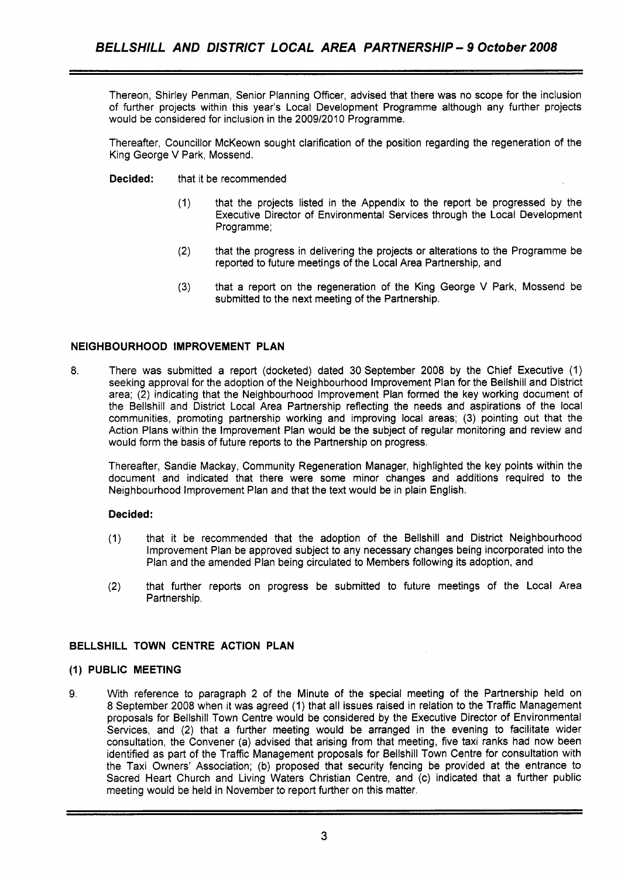Thereon, Shirley Penman, Senior Planning Officer, advised that there was no scope for the inclusion of further projects within this year's Local Development Programme although any further projects would be considered for inclusion in the 2009/2010 Programme.

Thereafter, Councillor McKeown sought clarification of the position regarding the regeneration of the King George V Park, Mossend.

- **Decided:** that it be recommended
	- (1) that the projects listed in the Appendix to the report be progressed by the Executive Director of Environmental Services through the Local Development Programme;
	- (2) that the progress in delivering the projects or alterations to the Programme be reported to future meetings of the Local Area Partnership, and
	- **(3)** that a report on the regeneration of the King George V Park, Mossend be submitted to the next meeting of the Partnership.

# **NEIGHBOURHOOD IMPROVEMENT PLAN**

**8.** There was submitted a report (docketed) dated 30 September 2008 by the Chief Executive (1) seeking approval for the adoption of the Neighbourhood improvement Plan for the Bellshill and District area; (2) indicating that the Neighbourhood Improvement Plan formed the key working document of the Bellshill and District Local Area Partnership reflecting the needs and aspirations of the local communities, promoting partnership working and improving local areas; (3) pointing out that the Action Plans within the Improvement Plan would be the subject of regular monitoring and review and would form the basis of future reports to the Partnership on progress.

Thereafter, Sandie Mackay, Community Regeneration Manager, highlighted the key points within the document and indicated that there were some minor changes and additions required to the Neighbourhood Improvement Plan and that the text would be in plain English.

# **Decided:**

- (1) that it be recommended that the adoption of the Bellshill and District Neighbourhood Improvement Plan be approved subject to any necessary changes being incorporated into the Plan and the amended Plan being circulated to Members following its adoption, and
- (2) that further reports on progress be submitted to future meetings of the Local Area Partnership.

# **BELLSHILL TOWN CENTRE ACTION PLAN**

#### **(1) PUBLIC MEETING**

9. With reference to paragraph 2 of the Minute of the special meeting of the Partnership held on 8 September 2008 when it was agreed (1) that all issues raised in relation to the Traffic Management proposals for Bellshill Town Centre would be considered by the Executive Director of Environmental Services, and (2) that a further meeting would be arranged in the evening to facilitate wider consultation, the Convener (a) advised that arising from that meeting, five taxi ranks had now been identified as part of the Traffic Management proposals for Bellshill Town Centre for consultation with the Taxi Owners' Association; (b) proposed that security fencing be provided at the entrance to Sacred Heart Church and Living Waters Christian Centre, and (c) indicated that a further public meeting would be held in November to report further on this matter.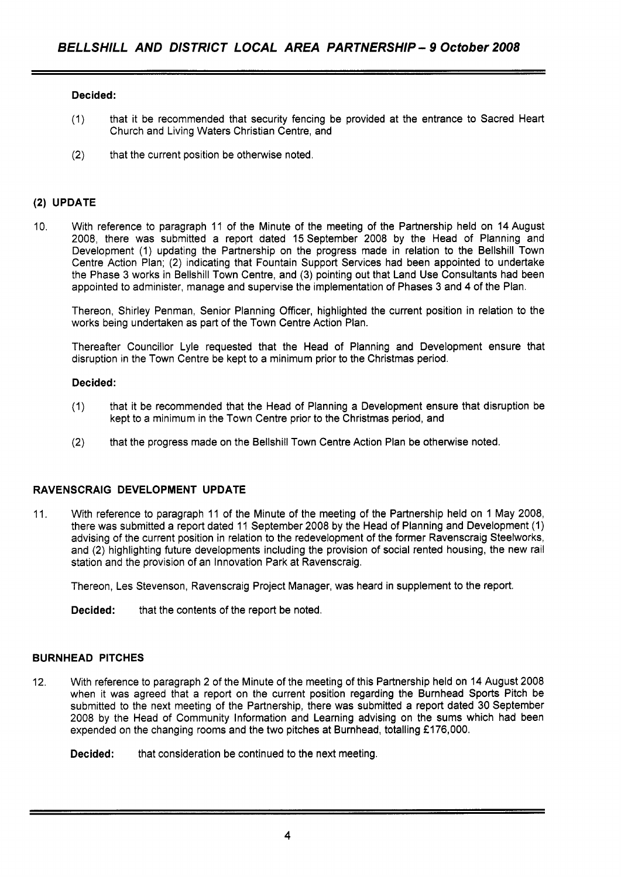# **Decided:**

- (1) that it be recommended that security fencing be provided at the entrance to Sacred Heart Church and Living Waters Christian Centre, and
- (2) that the current position be otherwise noted.

## **(2) UPDATE**

**10.** With reference to paragraph **11** of the Minute of the meeting of the Partnership held on **14** August 2008, there was submitted a report dated **15** September 2008 by the Head of Planning and Development **(1)** updating the Partnership on the progress made in relation to the Bellshill Town Centre Action Plan; (2) indicating that Fountain Support Services had been appointed to undertake the Phase 3 works in Bellshill Town Centre, and (3) pointing out that Land Use Consultants had been appointed to administer, manage and supervise the implementation of Phases 3 and **4** of the Plan.

Thereon, Shirley Penman, Senior Planning Officer, highlighted the current position in relation to the works being undertaken as part of the Town Centre Action Plan.

Thereafter Councillor Lyle requested that the Head of Planning and Development ensure that disruption in the Town Centre be kept to a minimum prior to the Christmas period.

#### **Decided:**

- **(1)** that it be recommended that the Head of Planning a Development ensure that disruption be kept to a minimum in the Town Centre prior to the Christmas period, and
- (2) that the progress made on the Bellshill Town Centre Action Plan be otherwise noted.

# **RAVENSCRAIG DEVELOPMENT UPDATE**

**11.** With reference to paragraph **11** of the Minute of the meeting of the Partnership held on **1** May 2008, there was submitted a report dated **11** September 2008 by the Head of Planning and Development **(1)**  advising of the current position in relation to the redevelopment of the former Ravenscraig Steelworks, and (2) highlighting future developments including the provision of social rented housing, the new rail station and the provision of an Innovation Park at Ravenscraig.

Thereon, Les Stevenson, Ravenscraig Project Manager, was heard in supplement to the report.

**Decided:** that the contents of the report be noted.

#### **BURNHEAD PITCHES**

12. With reference to paragraph 2 of the Minute of the meeting of this Partnership held on **14** August 2008 when it was agreed that a report on the current position regarding the Burnhead Sports Pitch be submitted to the next meeting of the Partnership, there was submitted a report dated 30 September 2008 by the Head of Community Information and Learning advising on the sums which had been expended on the changing rooms and the two pitches at Burnhead, totalling £176,000.

**Decided:** that consideration be continued to the next meeting.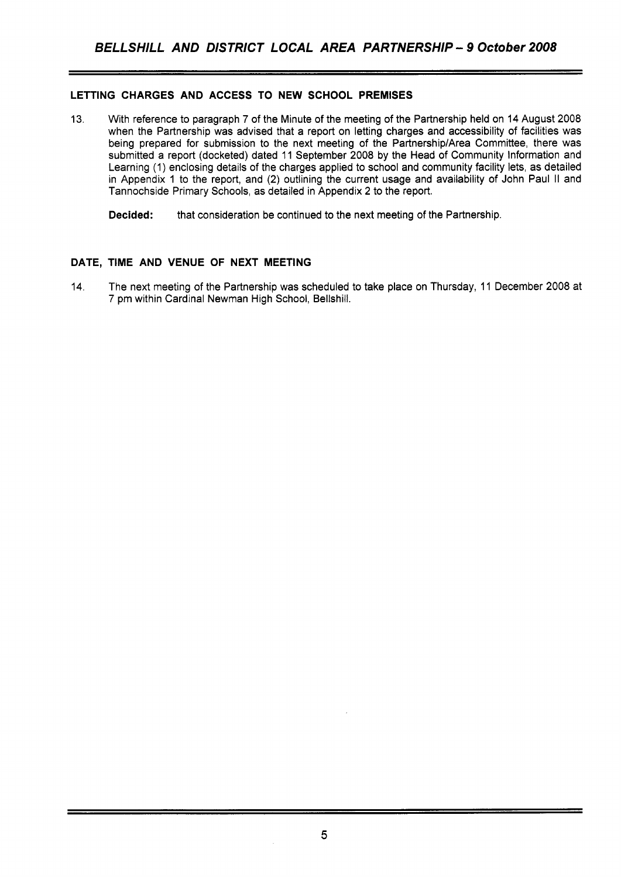# **LETTING CHARGES AND ACCESS TO NEW SCHOOL PREMISES**

13. With reference to paragraph 7 of the Minute of the meeting of the Partnership held on 14 August 2008 when the Partnership was advised that a report on letting charges and accessibility of facilities was being prepared for submission to the next meeting of the Partnership/Area Committee, there was submitted a report (docketed) dated 11 September 2008 by the Head of Community Information and Learning (1) enclosing details of the charges applied to school and community facility lets, as detailed in Appendix 1 to the report, and (2) outlining the current usage and availability of John Paul II and Tannochside Primary Schools, as detailed in Appendix 2 to the report.

**Decided:** that consideration be continued to the next meeting of the Partnership.

# **DATE, TIME AND VENUE OF NEXT MEETING**

14. The next meeting of the Partnership was scheduled to take place on Thursday, 11 December 2008 at 7 pm within Cardinal Newman High School, Bellshill.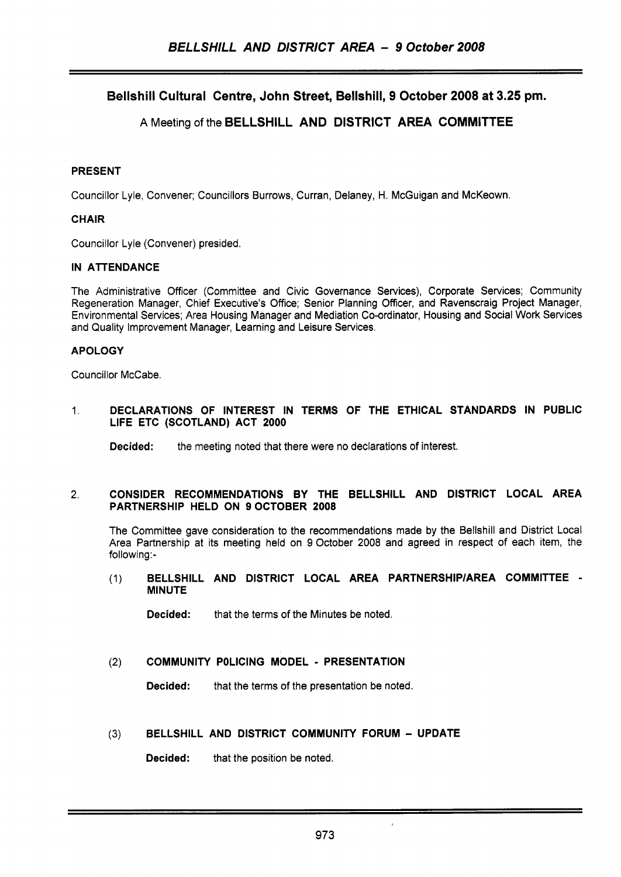Bellshill Cultural Centre, John Street, Bellshill, 9 October 2008 at 3.25 **pm.** 

# A Meeting of the BELLSHILL AND DISTRICT AREA COMMITTEE

# PRESENT

Councillor Lyle, Convener; Councillors Burrows, Curran, Delaney, H. McGuigan and McKeown.

# CHAIR

Councillor Lyle (Convener) presided.

# IN ATTENDANCE

The Administrative Officer (Committee and Civic Governance Services), Corporate Services; Community Regeneration Manager, Chief Executive's Office; Senior Planning Officer, and Ravenscraig Project Manager, Environmental Services; Area Housing Manager and Mediation Co-ordinator, Housing and Social Work Services and Quality Improvement Manager, Learning and Leisure Services.

# APOLOGY

Councillor McCabe.

## 1. DECLARATIONS OF INTEREST IN TERMS OF THE ETHICAL STANDARDS IN PUBLIC LIFE ETC (SCOTLAND) ACT 2000

**Decided:** the meeting noted that there were no declarations of interest.

### **2.** CONSIDER RECOMMENDATIONS BY THE BELLSHILL AND DISTRICT LOCAL AREA PARTNERSHIP HELD ON 9OCTOBER 2008

The Committee gave consideration to the recommendations made by the Bellshill and District Local Area Partnership at its meeting held on **9** October 2008 and agreed in respect of each item, the following:-

(1) BELLSHILL AND DISTRICT LOCAL AREA PARTNERSHlPlAREA COMMITTEE - **MINUTE** 

Decided: that the terms of the Minutes be noted.

# (2) COMMUNITY POLICING MODEL - PRESENTATION

Decided: that the terms of the presentation be noted.

# **(3)** BELLSHILL AND DISTRICT COMMUNITY FORUM - UPDATE

Decided: that the position be noted.

j,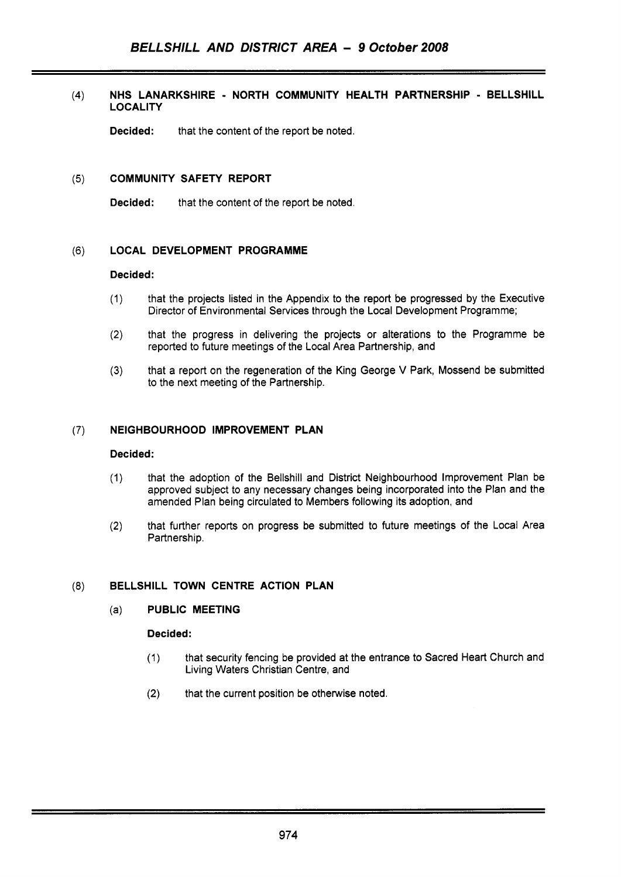# **(4) NHS LANARKSHIRE** - **NORTH COMMUNITY HEALTH PARTNERSHIP** - **BELLSHILL LOCALITY**

**Decided:** that the content of the report be noted.

# **(5) COMMUNITY SAFETY REPORT**

**Decided:** that the content of the report be noted.

# **(6) LOCAL DEVELOPMENT PROGRAMME**

### **Decided:**

- (1) that the projects listed in the Appendix to the report be progressed by the Executive Director of Environmental Services through the Local Development Programme;
- (2) that the progress in delivering the projects or alterations to the Programme be reported to future meetings of the Local Area Partnership, and
- **(3)** that a report on the regeneration of the King George V Park, Mossend be submitted to the next meeting of the Partnership.

# **(7) NEIGHBOURHOOD IMPROVEMENT PLAN**

### **Decided:**

- (1) that the adoption of the Bellshill and District Neighbourhood Improvement Plan be approved subject to any necessary changes being incorporated into the Plan and the amended Plan being circulated to Members following its adoption, and
- **(2)** that further reports on progress be submitted to future meetings of the Local Area Partnership.

# **(8) BELLSHILL TOWN CENTRE ACTION PLAN**

# (a) **PUBLIC MEETING**

# **Decided:**

- (1) that security fencing be provided at the entrance to Sacred Heart Church and Living Waters Christian Centre, and
- (2) that the current position be otherwise noted.